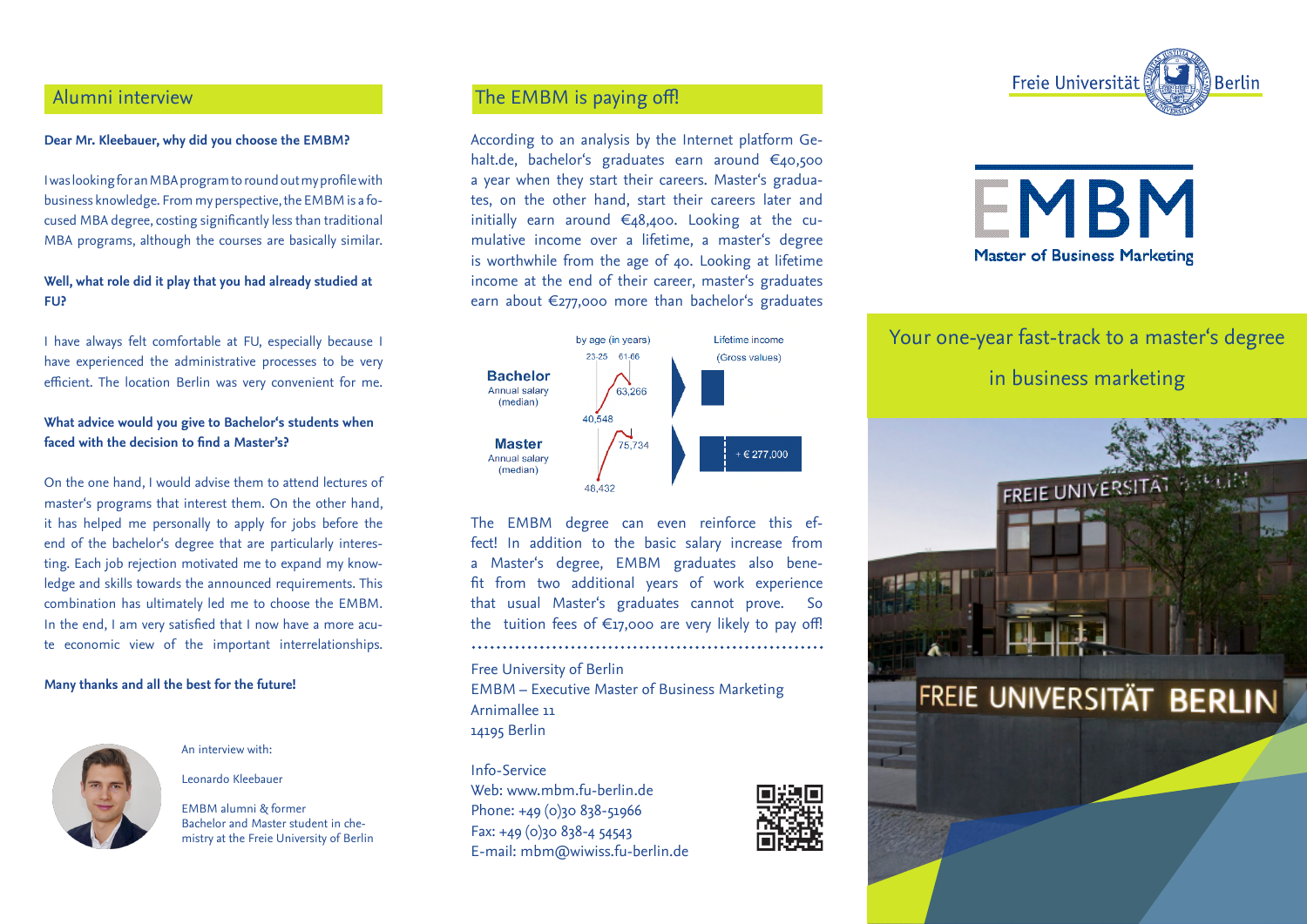# Alumni interview

## **Dear Mr. Kleebauer, why did you choose the EMBM?**

I was looking for an MBA program to round out my profile with business knowledge. From my perspective, the EMBM is a focused MBA degree, costing significantly less than traditional MBA programs, although the courses are basically similar.

## **Well, what role did it play that you had already studied at FU?**

I have always felt comfortable at FU, especially because I have experienced the administrative processes to be very efficient. The location Berlin was very convenient for me.

## **What advice would you give to Bachelor's students when faced with the decision to find a Master's?**

On the one hand, I would advise them to attend lectures of master's programs that interest them. On the other hand, it has helped me personally to apply for jobs before the end of the bachelor's degree that are particularly interesting. Each job rejection motivated me to expand my knowledge and skills towards the announced requirements. This combination has ultimately led me to choose the EMBM. In the end, I am very satisfied that I now have a more acute economic view of the important interrelationships.

## **Many thanks and all the best for the future!**



An interview with:

Leonardo Kleebauer

EMBM alumni & former Bachelor and Master student in chemistry at the Freie University of Berlin

# The EMBM is paying off!

According to an analysis by the Internet platform Gehalt.de, bachelor's graduates earn around €40,500 a year when they start their careers. Master's graduates, on the other hand, start their careers later and initially earn around €48,400. Looking at the cumulative income over a lifetime, a master's degree is worthwhile from the age of 40. Looking at lifetime income at the end of their career, master's graduates earn about €277,000 more than bachelor's graduates



The EMBM degree can even reinforce this effect! In addition to the basic salary increase from a Master's degree, EMBM graduates also benefit from two additional years of work experience that usual Master's graduates cannot prove. So the tuition fees of  $\epsilon_{17,000}$  are very likely to pay off!

Free University of Berlin EMBM – Executive Master of Business Marketing Arnimallee 11 14195 Berlin

### Info-Service

Web: www.mbm.fu-berlin.de Phone: +49 (0)30 838-51966 Fax: +49 (0)30 838-4 54543 E-mail: mbm@wiwiss.fu-berlin.de